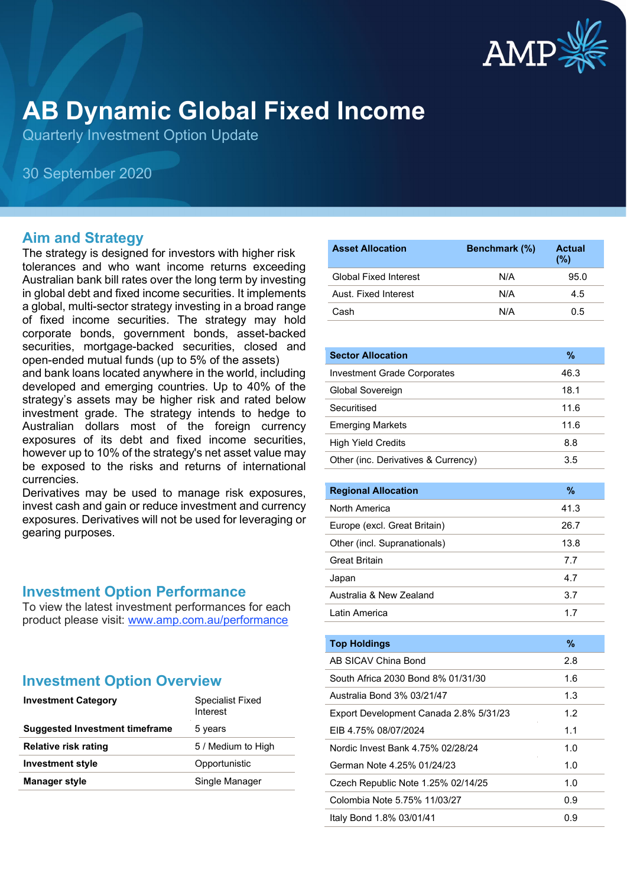

# **AB Dynamic Global Fixed Income**

Quarterly Investment Option Update

30 September 2020

#### **Aim and Strategy**

The strategy is designed for investors with higher risk tolerances and who want income returns exceeding Australian bank bill rates over the long term by investing in global debt and fixed income securities. It implements a global, multi-sector strategy investing in a broad range of fixed income securities. The strategy may hold corporate bonds, government bonds, asset-backed securities, mortgage-backed securities, closed and open-ended mutual funds (up to 5% of the assets)

and bank loans located anywhere in the world, including developed and emerging countries. Up to 40% of the strategy's assets may be higher risk and rated below investment grade. The strategy intends to hedge to Australian dollars most of the foreign currency exposures of its debt and fixed income securities, however up to 10% of the strategy's net asset value may be exposed to the risks and returns of international currencies.

Derivatives may be used to manage risk exposures, invest cash and gain or reduce investment and currency exposures. Derivatives will not be used for leveraging or gearing purposes.

#### **Investment Option Performance**

To view the latest investment performances for each product please visit: [www.amp.com.au/performance](https://www.amp.com.au/performance)

## **Investment Option Overview**

| <b>Investment Category</b>            | Specialist Fixed<br>Interest |  |
|---------------------------------------|------------------------------|--|
| <b>Suggested Investment timeframe</b> | 5 years                      |  |
| <b>Relative risk rating</b>           | 5 / Medium to High           |  |
| <b>Investment style</b>               | Opportunistic                |  |
| <b>Manager style</b>                  | Single Manager               |  |

| <b>Asset Allocation</b>      | <b>Benchmark</b> (%) | <b>Actual</b><br>(%) |
|------------------------------|----------------------|----------------------|
| <b>Global Fixed Interest</b> | N/A                  | 95.0                 |
| Aust. Fixed Interest         | N/A                  | 4.5                  |
| Cash                         | N/A                  | 0.5                  |

| <b>Sector Allocation</b>            | $\%$ |
|-------------------------------------|------|
| <b>Investment Grade Corporates</b>  | 46.3 |
| Global Sovereign                    | 18.1 |
| Securitised                         | 11.6 |
| <b>Emerging Markets</b>             | 11.6 |
| <b>High Yield Credits</b>           | 8.8  |
| Other (inc. Derivatives & Currency) | 3.5  |

| <b>Regional Allocation</b>   | %    |
|------------------------------|------|
| North America                | 41.3 |
| Europe (excl. Great Britain) | 26.7 |
| Other (incl. Supranationals) | 13.8 |
| <b>Great Britain</b>         | 7.7  |
| Japan                        | 4.7  |
| Australia & New Zealand      | 3.7  |
| Latin America                | 17   |

| <b>Top Holdings</b>                    | $\%$ |
|----------------------------------------|------|
| AB SICAV China Bond                    | 2.8  |
| South Africa 2030 Bond 8% 01/31/30     | 1.6  |
| Australia Bond 3% 03/21/47             | 1.3  |
| Export Development Canada 2.8% 5/31/23 | 1.2  |
| EIB 4.75% 08/07/2024                   | 1.1  |
| Nordic Invest Bank 4.75% 02/28/24      | 1.0  |
| German Note 4.25% 01/24/23             | 1.0  |
| Czech Republic Note 1.25% 02/14/25     | 1.0  |
| Colombia Note 5.75% 11/03/27           | 0.9  |
| Italy Bond 1.8% 03/01/41               | 0.9  |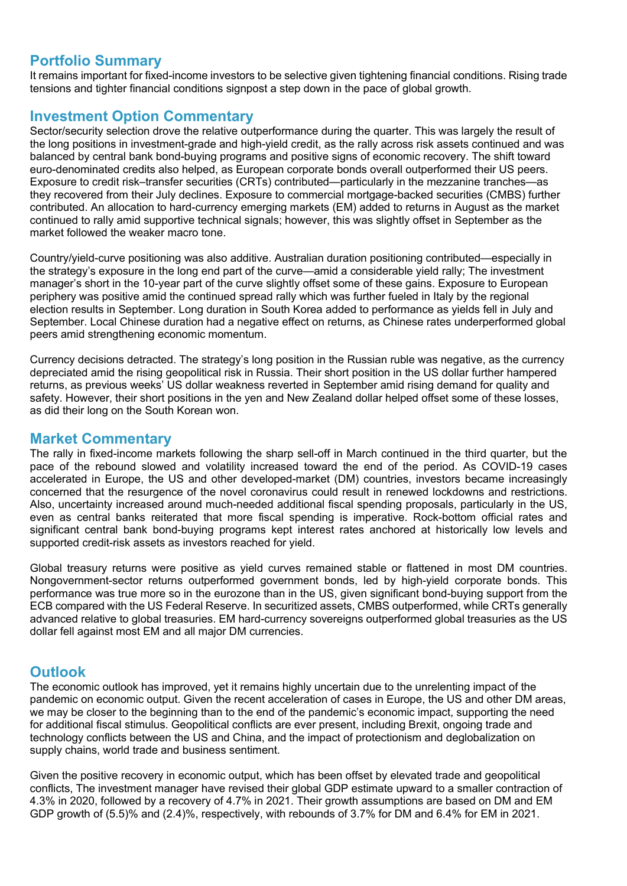#### **Portfolio Summary**

It remains important for fixed-income investors to be selective given tightening financial conditions. Rising trade tensions and tighter financial conditions signpost a step down in the pace of global growth.

#### **Investment Option Commentary**

Sector/security selection drove the relative outperformance during the quarter. This was largely the result of the long positions in investment-grade and high-yield credit, as the rally across risk assets continued and was balanced by central bank bond-buying programs and positive signs of economic recovery. The shift toward euro-denominated credits also helped, as European corporate bonds overall outperformed their US peers. Exposure to credit risk–transfer securities (CRTs) contributed—particularly in the mezzanine tranches—as they recovered from their July declines. Exposure to commercial mortgage-backed securities (CMBS) further contributed. An allocation to hard-currency emerging markets (EM) added to returns in August as the market continued to rally amid supportive technical signals; however, this was slightly offset in September as the market followed the weaker macro tone.

Country/yield-curve positioning was also additive. Australian duration positioning contributed—especially in the strategy's exposure in the long end part of the curve—amid a considerable yield rally; The investment manager's short in the 10-year part of the curve slightly offset some of these gains. Exposure to European periphery was positive amid the continued spread rally which was further fueled in Italy by the regional election results in September. Long duration in South Korea added to performance as yields fell in July and September. Local Chinese duration had a negative effect on returns, as Chinese rates underperformed global peers amid strengthening economic momentum.

Currency decisions detracted. The strategy's long position in the Russian ruble was negative, as the currency depreciated amid the rising geopolitical risk in Russia. Their short position in the US dollar further hampered returns, as previous weeks' US dollar weakness reverted in September amid rising demand for quality and safety. However, their short positions in the yen and New Zealand dollar helped offset some of these losses, as did their long on the South Korean won.

#### **Market Commentary**

The rally in fixed-income markets following the sharp sell-off in March continued in the third quarter, but the pace of the rebound slowed and volatility increased toward the end of the period. As COVID-19 cases accelerated in Europe, the US and other developed-market (DM) countries, investors became increasingly concerned that the resurgence of the novel coronavirus could result in renewed lockdowns and restrictions. Also, uncertainty increased around much-needed additional fiscal spending proposals, particularly in the US, even as central banks reiterated that more fiscal spending is imperative. Rock-bottom official rates and significant central bank bond-buying programs kept interest rates anchored at historically low levels and supported credit-risk assets as investors reached for yield.

Global treasury returns were positive as yield curves remained stable or flattened in most DM countries. Nongovernment-sector returns outperformed government bonds, led by high-yield corporate bonds. This performance was true more so in the eurozone than in the US, given significant bond-buying support from the ECB compared with the US Federal Reserve. In securitized assets, CMBS outperformed, while CRTs generally advanced relative to global treasuries. EM hard-currency sovereigns outperformed global treasuries as the US dollar fell against most EM and all major DM currencies.

### **Outlook**

The economic outlook has improved, yet it remains highly uncertain due to the unrelenting impact of the pandemic on economic output. Given the recent acceleration of cases in Europe, the US and other DM areas, we may be closer to the beginning than to the end of the pandemic's economic impact, supporting the need for additional fiscal stimulus. Geopolitical conflicts are ever present, including Brexit, ongoing trade and technology conflicts between the US and China, and the impact of protectionism and deglobalization on supply chains, world trade and business sentiment.

Given the positive recovery in economic output, which has been offset by elevated trade and geopolitical conflicts, The investment manager have revised their global GDP estimate upward to a smaller contraction of 4.3% in 2020, followed by a recovery of 4.7% in 2021. Their growth assumptions are based on DM and EM GDP growth of (5.5)% and (2.4)%, respectively, with rebounds of 3.7% for DM and 6.4% for EM in 2021.